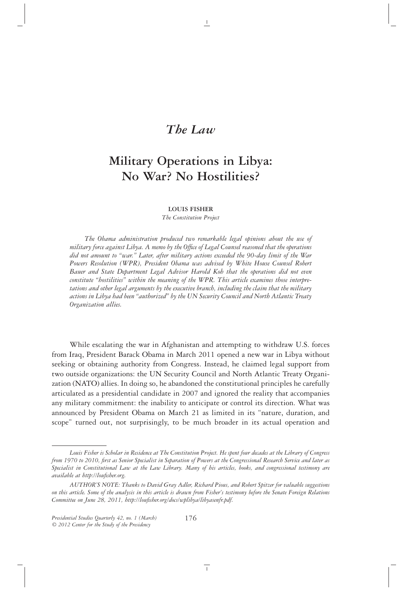## *The Law*

# **Military Operations in Libya: No War? No Hostilities?**

#### **LOUIS FISHER**

*The Constitution Project*

*The Obama administration produced two remarkable legal opinions about the use of military force against Libya. A memo by the Office of Legal Counsel reasoned that the operations did not amount to "war." Later, after military actions exceeded the 90-day limit of the War Powers Resolution (WPR), President Obama was advised by White House Counsel Robert Bauer and State Department Legal Advisor Harold Koh that the operations did not even constitute "hostilities" within the meaning of the WPR. This article examines those interpretations and other legal arguments by the executive branch, including the claim that the military actions in Libya had been "authorized" by the UN Security Council and North Atlantic Treaty Organization allies.*

While escalating the war in Afghanistan and attempting to withdraw U.S. forces from Iraq, President Barack Obama in March 2011 opened a new war in Libya without seeking or obtaining authority from Congress. Instead, he claimed legal support from two outside organizations: the UN Security Council and North Atlantic Treaty Organization (NATO) allies. In doing so, he abandoned the constitutional principles he carefully articulated as a presidential candidate in 2007 and ignored the reality that accompanies any military commitment: the inability to anticipate or control its direction. What was announced by President Obama on March 21 as limited in its "nature, duration, and scope" turned out, not surprisingly, to be much broader in its actual operation and

*Louis Fisher is Scholar in Residence at The Constitution Project. He spent four decades at the Library of Congress from 1970 to 2010, first as Senior Specialist in Separation of Powers at the Congressional Research Service and later as Specialist in Constitutional Law at the Law Library. Many of his articles, books, and congressional testimony are available at http://loufisher.org.*

*AUTHOR'S NOTE: Thanks to David Gray Adler, Richard Pious, and Robert Spitzer for valuable suggestions on this article. Some of the analysis in this article is drawn from Fisher's testimony before the Senate Foreign Relations Committee on June 28, 2011, http://loufisher.org/docs/wplibya/libyasenfr.pdf.*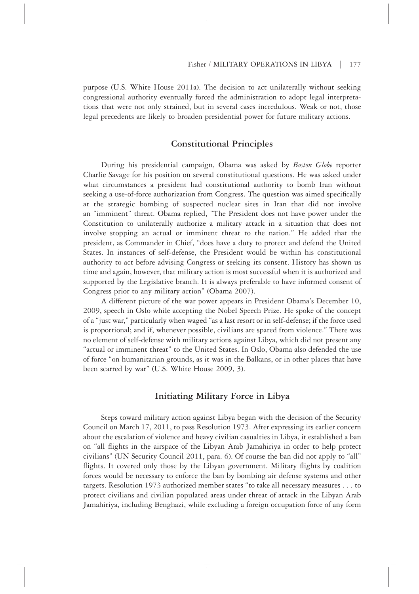purpose (U.S. White House 2011a). The decision to act unilaterally without seeking congressional authority eventually forced the administration to adopt legal interpretations that were not only strained, but in several cases incredulous. Weak or not, those legal precedents are likely to broaden presidential power for future military actions.

#### **Constitutional Principles**

During his presidential campaign, Obama was asked by *Boston Globe* reporter Charlie Savage for his position on several constitutional questions. He was asked under what circumstances a president had constitutional authority to bomb Iran without seeking a use-of-force authorization from Congress. The question was aimed specifically at the strategic bombing of suspected nuclear sites in Iran that did not involve an "imminent" threat. Obama replied, "The President does not have power under the Constitution to unilaterally authorize a military attack in a situation that does not involve stopping an actual or imminent threat to the nation." He added that the president, as Commander in Chief, "does have a duty to protect and defend the United States. In instances of self-defense, the President would be within his constitutional authority to act before advising Congress or seeking its consent. History has shown us time and again, however, that military action is most successful when it is authorized and supported by the Legislative branch. It is always preferable to have informed consent of Congress prior to any military action" (Obama 2007).

A different picture of the war power appears in President Obama's December 10, 2009, speech in Oslo while accepting the Nobel Speech Prize. He spoke of the concept of a "just war," particularly when waged "as a last resort or in self-defense; if the force used is proportional; and if, whenever possible, civilians are spared from violence." There was no element of self-defense with military actions against Libya, which did not present any "actual or imminent threat" to the United States. In Oslo, Obama also defended the use of force "on humanitarian grounds, as it was in the Balkans, or in other places that have been scarred by war" (U.S. White House 2009, 3).

### **Initiating Military Force in Libya**

Steps toward military action against Libya began with the decision of the Security Council on March 17, 2011, to pass Resolution 1973. After expressing its earlier concern about the escalation of violence and heavy civilian casualties in Libya, it established a ban on "all flights in the airspace of the Libyan Arab Jamahiriya in order to help protect civilians" (UN Security Council 2011, para. 6). Of course the ban did not apply to "all" flights. It covered only those by the Libyan government. Military flights by coalition forces would be necessary to enforce the ban by bombing air defense systems and other targets. Resolution 1973 authorized member states "to take all necessary measures . . . to protect civilians and civilian populated areas under threat of attack in the Libyan Arab Jamahiriya, including Benghazi, while excluding a foreign occupation force of any form

 $\overline{+}$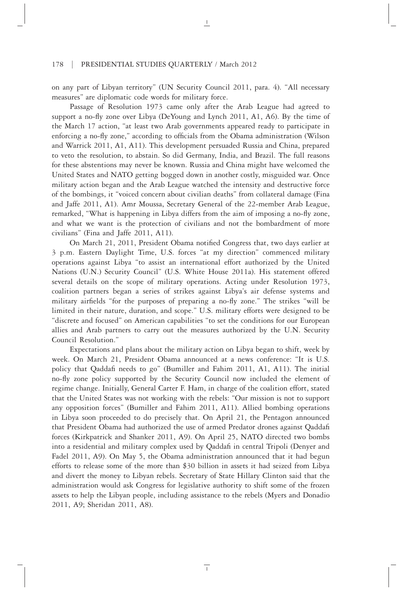on any part of Libyan territory" (UN Security Council 2011, para. 4). "All necessary measures" are diplomatic code words for military force.

 $\bot$ 

Passage of Resolution 1973 came only after the Arab League had agreed to support a no-fly zone over Libya (DeYoung and Lynch 2011, A1, A6). By the time of the March 17 action, "at least two Arab governments appeared ready to participate in enforcing a no-fly zone," according to officials from the Obama administration (Wilson and Warrick 2011, A1, A11). This development persuaded Russia and China, prepared to veto the resolution, to abstain. So did Germany, India, and Brazil. The full reasons for these abstentions may never be known. Russia and China might have welcomed the United States and NATO getting bogged down in another costly, misguided war. Once military action began and the Arab League watched the intensity and destructive force of the bombings, it "voiced concern about civilian deaths" from collateral damage (Fina and Jaffe 2011, A1). Amr Moussa, Secretary General of the 22-member Arab League, remarked, "What is happening in Libya differs from the aim of imposing a no-fly zone, and what we want is the protection of civilians and not the bombardment of more civilians" (Fina and Jaffe 2011, A11).

On March 21, 2011, President Obama notified Congress that, two days earlier at 3 p.m. Eastern Daylight Time, U.S. forces "at my direction" commenced military operations against Libya "to assist an international effort authorized by the United Nations (U.N.) Security Council" (U.S. White House 2011a). His statement offered several details on the scope of military operations. Acting under Resolution 1973, coalition partners began a series of strikes against Libya's air defense systems and military airfields "for the purposes of preparing a no-fly zone." The strikes "will be limited in their nature, duration, and scope." U.S. military efforts were designed to be "discrete and focused" on American capabilities "to set the conditions for our European allies and Arab partners to carry out the measures authorized by the U.N. Security Council Resolution."

Expectations and plans about the military action on Libya began to shift, week by week. On March 21, President Obama announced at a news conference: "It is U.S. policy that Qaddafi needs to go" (Bumiller and Fahim 2011, A1, A11). The initial no-fly zone policy supported by the Security Council now included the element of regime change. Initially, General Carter F. Ham, in charge of the coalition effort, stated that the United States was not working with the rebels: "Our mission is not to support any opposition forces" (Bumiller and Fahim 2011, A11). Allied bombing operations in Libya soon proceeded to do precisely that. On April 21, the Pentagon announced that President Obama had authorized the use of armed Predator drones against Qaddafi forces (Kirkpatrick and Shanker 2011, A9). On April 25, NATO directed two bombs into a residential and military complex used by Qaddafi in central Tripoli (Denyer and Fadel 2011, A9). On May 5, the Obama administration announced that it had begun efforts to release some of the more than \$30 billion in assets it had seized from Libya and divert the money to Libyan rebels. Secretary of State Hillary Clinton said that the administration would ask Congress for legislative authority to shift some of the frozen assets to help the Libyan people, including assistance to the rebels (Myers and Donadio 2011, A9; Sheridan 2011, A8).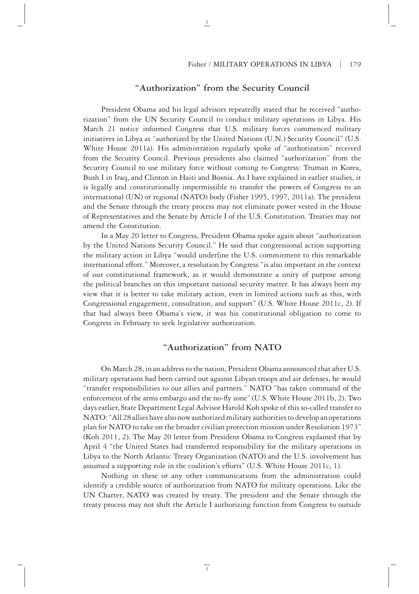## **"Authorization" from the Security Council**

President Obama and his legal advisors repeatedly stated that he received "authorization" from the UN Security Council to conduct military operations in Libya. His March 21 notice informed Congress that U.S. military forces commenced military initiatives in Libya as "authorized by the United Nations (U.N.) Security Council" (U.S. White House 2011a). His administration regularly spoke of "authorization" received from the Security Council. Previous presidents also claimed "authorization" from the Security Council to use military force without coming to Congress: Truman in Korea, Bush I in Iraq, and Clinton in Haiti and Bosnia. As I have explained in earlier studies, it is legally and constitutionally impermissible to transfer the powers of Congress to an international (UN) or regional (NATO) body (Fisher 1995, 1997, 2011a). The president and the Senate through the treaty process may not eliminate power vested in the House of Representatives and the Senate by Article I of the U.S. Constitution. Treaties may not amend the Constitution.

In a May 20 letter to Congress, President Obama spoke again about "authorization by the United Nations Security Council." He said that congressional action supporting the military action in Libya "would underline the U.S. commitment to this remarkable international effort." Moreover, a resolution by Congress "is also important in the context of our constitutional framework, as it would demonstrate a unity of purpose among the political branches on this important national security matter. It has always been my view that it is better to take military action, even in limited actions such as this, with Congressional engagement, consultation, and support" (U.S. White House 2011c, 2). If that had always been Obama's view, it was his constitutional obligation to come to Congress in February to seek legislative authorization.

## **"Authorization" from NATO**

On March 28, in an address to the nation, President Obama announced that after U.S. military operations had been carried out against Libyan troops and air defenses, he would "transfer responsibilities to our allies and partners." NATO "has taken command of the enforcement of the arms embargo and the no-fly zone" (U.S. White House 2011b, 2). Two days earlier, State Department Legal Advisor Harold Koh spoke of this so-called transfer to NATO: "All 28 allies have also now authorized military authorities to develop an operations plan for NATO to take on the broader civilian protection mission under Resolution 1973" (Koh 2011, 2). The May 20 letter from President Obama to Congress explained that by April 4 "the United States had transferred responsibility for the military operations in Libya to the North Atlantic Treaty Organization (NATO) and the U.S. involvement has assumed a supporting role in the coalition's efforts" (U.S. White House 2011c, 1).

Nothing in these or any other communications from the administration could identify a credible source of authorization from NATO for military operations. Like the UN Charter, NATO was created by treaty. The president and the Senate through the treaty process may not shift the Article I authorizing function from Congress to outside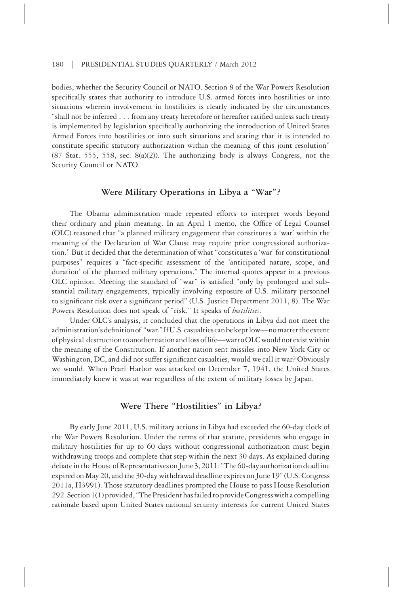bodies, whether the Security Council or NATO. Section 8 of the War Powers Resolution specifically states that authority to introduce U.S. armed forces into hostilities or into situations wherein involvement in hostilities is clearly indicated by the circumstances "shall not be inferred... from any treaty heretofore or hereafter ratified unless such treaty is implemented by legislation specifically authorizing the introduction of United States Armed Forces into hostilities or into such situations and stating that it is intended to constitute specific statutory authorization within the meaning of this joint resolution" (87 Stat. 555, 558, sec. 8(a)(2)). The authorizing body is always Congress, not the Security Council or NATO.

 $\bot$ 

## **Were Military Operations in Libya a "War"?**

The Obama administration made repeated efforts to interpret words beyond their ordinary and plain meaning. In an April 1 memo, the Office of Legal Counsel (OLC) reasoned that "a planned military engagement that constitutes a 'war' within the meaning of the Declaration of War Clause may require prior congressional authorization." But it decided that the determination of what "constitutes a 'war' for constitutional purposes" requires a "fact-specific assessment of the 'anticipated nature, scope, and duration' of the planned military operations." The internal quotes appear in a previous OLC opinion. Meeting the standard of "war" is satisfied "only by prolonged and substantial military engagements, typically involving exposure of U.S. military personnel to significant risk over a significant period" (U.S. Justice Department 2011, 8). The War Powers Resolution does not speak of "risk." It speaks of *hostilities*.

Under OLC's analysis, it concluded that the operations in Libya did not meet the administration's definitionof "war." IfU.S. casualties can be keptlow—nomatter the extent of physical destruction to another nation andloss oflife—war toOLCwould not existwithin the meaning of the Constitution. If another nation sent missiles into New York City or Washington, DC, and did not suffer significant casualties, would we call it war? Obviously we would. When Pearl Harbor was attacked on December 7, 1941, the United States immediately knew it was at war regardless of the extent of military losses by Japan.

#### **Were There "Hostilities" in Libya?**

By early June 2011, U.S. military actions in Libya had exceeded the 60-day clock of the War Powers Resolution. Under the terms of that statute, presidents who engage in military hostilities for up to 60 days without congressional authorization must begin withdrawing troops and complete that step within the next 30 days. As explained during debate in the House of Representatives on June 3, 2011: "The 60-day authorization deadline expired on May 20, and the 30-day withdrawal deadline expires on June 19" (U.S. Congress 2011a, H3991). Those statutory deadlines prompted the House to pass House Resolution 292. Section 1(1) provided, "The President has failed to provide Congress with a compelling rationale based upon United States national security interests for current United States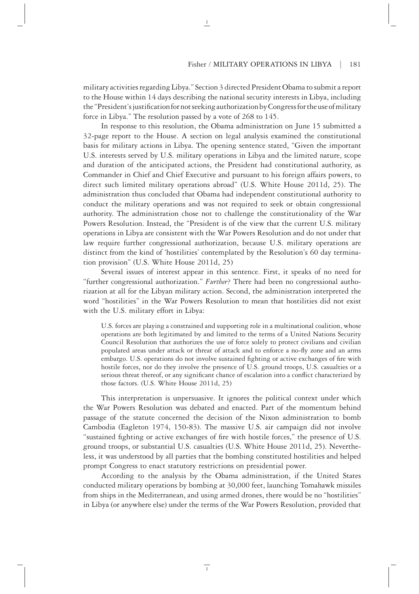military activities regarding Libya." Section 3 directed President Obama to submit a report to the House within 14 days describing the national security interests in Libya, including the "President'sjustificationfor not seeking authorization byCongressfor the use ofmilitary force in Libya." The resolution passed by a vote of 268 to 145.

In response to this resolution, the Obama administration on June 15 submitted a 32-page report to the House. A section on legal analysis examined the constitutional basis for military actions in Libya. The opening sentence stated, "Given the important U.S. interests served by U.S. military operations in Libya and the limited nature, scope and duration of the anticipated actions, the President had constitutional authority, as Commander in Chief and Chief Executive and pursuant to his foreign affairs powers, to direct such limited military operations abroad" (U.S. White House 2011d, 25). The administration thus concluded that Obama had independent constitutional authority to conduct the military operations and was not required to seek or obtain congressional authority. The administration chose not to challenge the constitutionality of the War Powers Resolution. Instead, the "President is of the view that the current U.S. military operations in Libya are consistent with the War Powers Resolution and do not under that law require further congressional authorization, because U.S. military operations are distinct from the kind of 'hostilities' contemplated by the Resolution's 60 day termination provision" (U.S. White House 2011d, 25)

Several issues of interest appear in this sentence. First, it speaks of no need for "further congressional authorization." *Further*? There had been no congressional authorization at all for the Libyan military action. Second, the administration interpreted the word "hostilities" in the War Powers Resolution to mean that hostilities did not exist with the U.S. military effort in Libya:

U.S. forces are playing a constrained and supporting role in a multinational coalition, whose operations are both legitimated by and limited to the terms of a United Nations Security Council Resolution that authorizes the use of force solely to protect civilians and civilian populated areas under attack or threat of attack and to enforce a no-fly zone and an arms embargo. U.S. operations do not involve sustained fighting or active exchanges of fire with hostile forces, nor do they involve the presence of U.S. ground troops, U.S. casualties or a serious threat thereof, or any significant chance of escalation into a conflict characterized by those factors. (U.S. White House 2011d, 25)

This interpretation is unpersuasive. It ignores the political context under which the War Powers Resolution was debated and enacted. Part of the momentum behind passage of the statute concerned the decision of the Nixon administration to bomb Cambodia (Eagleton 1974, 150-83). The massive U.S. air campaign did not involve "sustained fighting or active exchanges of fire with hostile forces," the presence of U.S. ground troops, or substantial U.S. casualties (U.S. White House 2011d, 25). Nevertheless, it was understood by all parties that the bombing constituted hostilities and helped prompt Congress to enact statutory restrictions on presidential power.

According to the analysis by the Obama administration, if the United States conducted military operations by bombing at 30,000 feet, launching Tomahawk missiles from ships in the Mediterranean, and using armed drones, there would be no "hostilities" in Libya (or anywhere else) under the terms of the War Powers Resolution, provided that

 $\bot$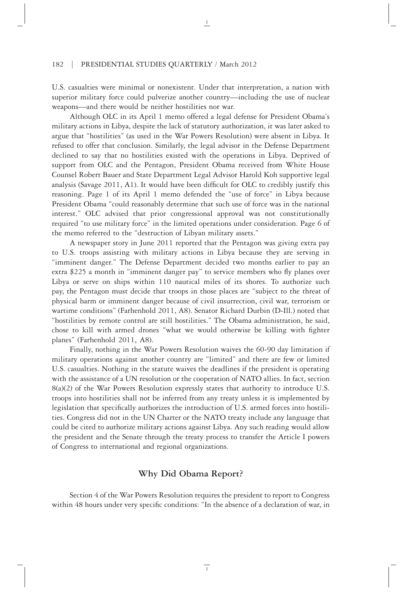U.S. casualties were minimal or nonexistent. Under that interpretation, a nation with superior military force could pulverize another country—including the use of nuclear weapons—and there would be neither hostilities nor war.

Although OLC in its April 1 memo offered a legal defense for President Obama's military actions in Libya, despite the lack of statutory authorization, it was later asked to argue that "hostilities" (as used in the War Powers Resolution) were absent in Libya. It refused to offer that conclusion. Similarly, the legal advisor in the Defense Department declined to say that no hostilities existed with the operations in Libya. Deprived of support from OLC and the Pentagon, President Obama received from White House Counsel Robert Bauer and State Department Legal Advisor Harold Koh supportive legal analysis (Savage 2011, A1). It would have been difficult for OLC to credibly justify this reasoning. Page 1 of its April 1 memo defended the "use of force" in Libya because President Obama "could reasonably determine that such use of force was in the national interest." OLC advised that prior congressional approval was not constitutionally required "to use military force" in the limited operations under consideration. Page 6 of the memo referred to the "destruction of Libyan military assets."

A newspaper story in June 2011 reported that the Pentagon was giving extra pay to U.S. troops assisting with military actions in Libya because they are serving in "imminent danger." The Defense Department decided two months earlier to pay an extra \$225 a month in "imminent danger pay" to service members who fly planes over Libya or serve on ships within 110 nautical miles of its shores. To authorize such pay, the Pentagon must decide that troops in those places are "subject to the threat of physical harm or imminent danger because of civil insurrection, civil war, terrorism or wartime conditions" (Farhenhold 2011, A8). Senator Richard Durbin (D-Ill.) noted that "hostilities by remote control are still hostilities." The Obama administration, he said, chose to kill with armed drones "what we would otherwise be killing with fighter planes" (Farhenhold 2011, A8).

Finally, nothing in the War Powers Resolution waives the 60-90 day limitation if military operations against another country are "limited" and there are few or limited U.S. casualties. Nothing in the statute waives the deadlines if the president is operating with the assistance of a UN resolution or the cooperation of NATO allies. In fact, section 8(a)(2) of the War Powers Resolution expressly states that authority to introduce U.S. troops into hostilities shall not be inferred from any treaty unless it is implemented by legislation that specifically authorizes the introduction of U.S. armed forces into hostilities. Congress did not in the UN Charter or the NATO treaty include any language that could be cited to authorize military actions against Libya. Any such reading would allow the president and the Senate through the treaty process to transfer the Article I powers of Congress to international and regional organizations.

### **Why Did Obama Report?**

Section 4 of the War Powers Resolution requires the president to report to Congress within 48 hours under very specific conditions: "In the absence of a declaration of war, in

 $\overline{+}$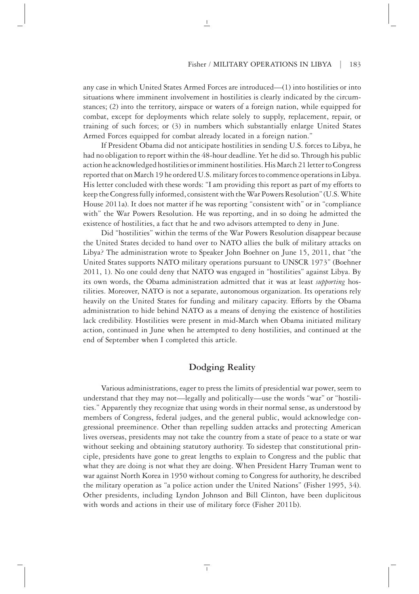any case in which United States Armed Forces are introduced—(1) into hostilities or into situations where imminent involvement in hostilities is clearly indicated by the circumstances; (2) into the territory, airspace or waters of a foreign nation, while equipped for combat, except for deployments which relate solely to supply, replacement, repair, or training of such forces; or (3) in numbers which substantially enlarge United States Armed Forces equipped for combat already located in a foreign nation."

If President Obama did not anticipate hostilities in sending U.S. forces to Libya, he had no obligation to report within the 48-hour deadline. Yet he did so. Through his public action he acknowledged hostilities orimminent hostilities. HisMarch 21letter to Congress reported that on March 19 he ordered U.S. military forces to commence operations in Libya. His letter concluded with these words: "I am providing this report as part of my efforts to keep the Congressfullyinformed, consistent with theWar Powers Resolution"(U.S.White House 2011a). It does not matter if he was reporting "consistent with" or in "compliance with" the War Powers Resolution. He was reporting, and in so doing he admitted the existence of hostilities, a fact that he and two advisors attempted to deny in June.

Did "hostilities" within the terms of the War Powers Resolution disappear because the United States decided to hand over to NATO allies the bulk of military attacks on Libya? The administration wrote to Speaker John Boehner on June 15, 2011, that "the United States supports NATO military operations pursuant to UNSCR 1973" (Boehner 2011, 1). No one could deny that NATO was engaged in "hostilities" against Libya. By its own words, the Obama administration admitted that it was at least *supporting* hostilities. Moreover, NATO is not a separate, autonomous organization. Its operations rely heavily on the United States for funding and military capacity. Efforts by the Obama administration to hide behind NATO as a means of denying the existence of hostilities lack credibility. Hostilities were present in mid-March when Obama initiated military action, continued in June when he attempted to deny hostilities, and continued at the end of September when I completed this article.

## **Dodging Reality**

Various administrations, eager to press the limits of presidential war power, seem to understand that they may not—legally and politically—use the words "war" or "hostilities." Apparently they recognize that using words in their normal sense, as understood by members of Congress, federal judges, and the general public, would acknowledge congressional preeminence. Other than repelling sudden attacks and protecting American lives overseas, presidents may not take the country from a state of peace to a state or war without seeking and obtaining statutory authority. To sidestep that constitutional principle, presidents have gone to great lengths to explain to Congress and the public that what they are doing is not what they are doing. When President Harry Truman went to war against North Korea in 1950 without coming to Congress for authority, he described the military operation as "a police action under the United Nations" (Fisher 1995, 34). Other presidents, including Lyndon Johnson and Bill Clinton, have been duplicitous with words and actions in their use of military force (Fisher 2011b).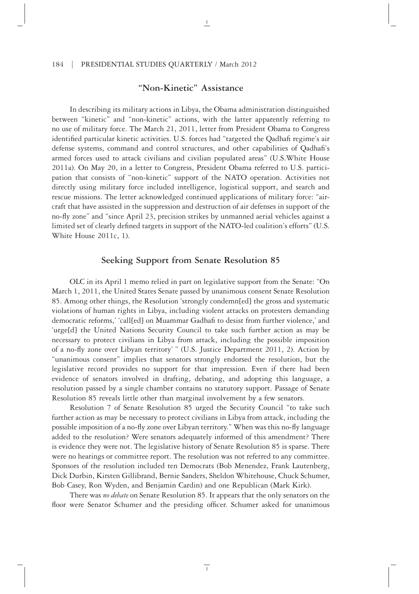## **"Non-Kinetic" Assistance**

In describing its military actions in Libya, the Obama administration distinguished between "kinetic" and "non-kinetic" actions, with the latter apparently referring to no use of military force. The March 21, 2011, letter from President Obama to Congress identified particular kinetic activities. U.S. forces had "targeted the Qadhafi regime's air defense systems, command and control structures, and other capabilities of Qadhafi's armed forces used to attack civilians and civilian populated areas" (U.S.White House 2011a). On May 20, in a letter to Congress, President Obama referred to U.S. participation that consists of "non-kinetic" support of the NATO operation. Activities not directly using military force included intelligence, logistical support, and search and rescue missions. The letter acknowledged continued applications of military force: "aircraft that have assisted in the suppression and destruction of air defenses in support of the no-fly zone" and "since April 23, precision strikes by unmanned aerial vehicles against a limited set of clearly defined targets in support of the NATO-led coalition's efforts" (U.S. White House 2011c, 1).

#### **Seeking Support from Senate Resolution 85**

OLC in its April 1 memo relied in part on legislative support from the Senate: "On March 1, 2011, the United States Senate passed by unanimous consent Senate Resolution 85. Among other things, the Resolution 'strongly condemn[ed] the gross and systematic violations of human rights in Libya, including violent attacks on protesters demanding democratic reforms,' 'call[ed] on Muammar Gadhafi to desist from further violence,' and 'urge[d] the United Nations Security Council to take such further action as may be necessary to protect civilians in Libya from attack, including the possible imposition of a no-fly zone over Libyan territory' " (U.S. Justice Department 2011, 2). Action by "unanimous consent" implies that senators strongly endorsed the resolution, but the legislative record provides no support for that impression. Even if there had been evidence of senators involved in drafting, debating, and adopting this language, a resolution passed by a single chamber contains no statutory support. Passage of Senate Resolution 85 reveals little other than marginal involvement by a few senators.

Resolution 7 of Senate Resolution 85 urged the Security Council "to take such further action as may be necessary to protect civilians in Libya from attack, including the possible imposition of a no-fly zone over Libyan territory." When was this no-fly language added to the resolution? Were senators adequately informed of this amendment? There is evidence they were not. The legislative history of Senate Resolution 85 is sparse. There were no hearings or committee report. The resolution was not referred to any committee. Sponsors of the resolution included ten Democrats (Bob Menendez, Frank Lautenberg, Dick Durbin, Kirsten Gillibrand, Bernie Sanders, Sheldon Whitehouse, Chuck Schumer, Bob Casey, Ron Wyden, and Benjamin Cardin) and one Republican (Mark Kirk).

There was *no debate* on Senate Resolution 85. It appears that the only senators on the floor were Senator Schumer and the presiding officer. Schumer asked for unanimous

 $\bot$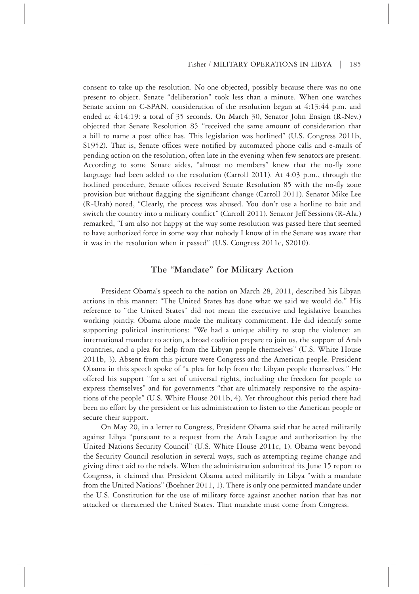#### Fisher / MILITARY OPERATIONS IN LIBYA | 185

consent to take up the resolution. No one objected, possibly because there was no one present to object. Senate "deliberation" took less than a minute. When one watches Senate action on C-SPAN, consideration of the resolution began at 4:13:44 p.m. and ended at 4:14:19: a total of 35 seconds. On March 30, Senator John Ensign (R-Nev.) objected that Senate Resolution 85 "received the same amount of consideration that a bill to name a post office has. This legislation was hotlined" (U.S. Congress 2011b, S1952). That is, Senate offices were notified by automated phone calls and e-mails of pending action on the resolution, often late in the evening when few senators are present. According to some Senate aides, "almost no members" knew that the no-fly zone language had been added to the resolution (Carroll 2011). At 4:03 p.m., through the hotlined procedure, Senate offices received Senate Resolution 85 with the no-fly zone provision but without flagging the significant change (Carroll 2011). Senator Mike Lee (R-Utah) noted, "Clearly, the process was abused. You don't use a hotline to bait and switch the country into a military conflict" (Carroll 2011). Senator Jeff Sessions (R-Ala.) remarked, "I am also not happy at the way some resolution was passed here that seemed to have authorized force in some way that nobody I know of in the Senate was aware that it was in the resolution when it passed" (U.S. Congress 2011c, S2010).

## **The "Mandate" for Military Action**

President Obama's speech to the nation on March 28, 2011, described his Libyan actions in this manner: "The United States has done what we said we would do." His reference to "the United States" did not mean the executive and legislative branches working jointly. Obama alone made the military commitment. He did identify some supporting political institutions: "We had a unique ability to stop the violence: an international mandate to action, a broad coalition prepare to join us, the support of Arab countries, and a plea for help from the Libyan people themselves" (U.S. White House 2011b, 3). Absent from this picture were Congress and the American people. President Obama in this speech spoke of "a plea for help from the Libyan people themselves." He offered his support "for a set of universal rights, including the freedom for people to express themselves" and for governments "that are ultimately responsive to the aspirations of the people" (U.S. White House 2011b, 4). Yet throughout this period there had been no effort by the president or his administration to listen to the American people or secure their support.

On May 20, in a letter to Congress, President Obama said that he acted militarily against Libya "pursuant to a request from the Arab League and authorization by the United Nations Security Council" (U.S. White House 2011c, 1). Obama went beyond the Security Council resolution in several ways, such as attempting regime change and giving direct aid to the rebels. When the administration submitted its June 15 report to Congress, it claimed that President Obama acted militarily in Libya "with a mandate from the United Nations" (Boehner 2011, 1). There is only one permitted mandate under the U.S. Constitution for the use of military force against another nation that has not attacked or threatened the United States. That mandate must come from Congress.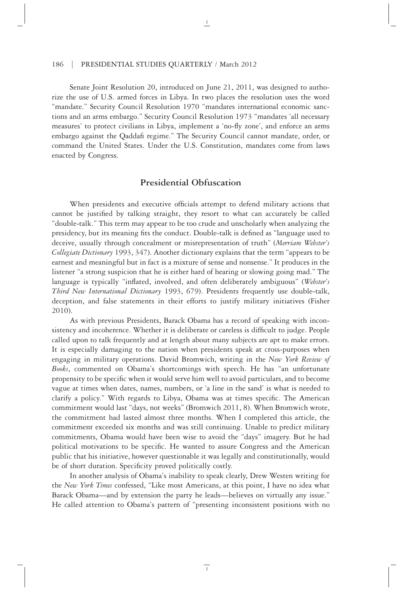Senate Joint Resolution 20, introduced on June 21, 2011, was designed to authorize the use of U.S. armed forces in Libya. In two places the resolution uses the word "mandate." Security Council Resolution 1970 "mandates international economic sanctions and an arms embargo." Security Council Resolution 1973 "mandates 'all necessary measures' to protect civilians in Libya, implement a 'no-fly zone', and enforce an arms embargo against the Qaddafi regime." The Security Council cannot mandate, order, or command the United States. Under the U.S. Constitution, mandates come from laws enacted by Congress.

## **Presidential Obfuscation**

When presidents and executive officials attempt to defend military actions that cannot be justified by talking straight, they resort to what can accurately be called "double-talk." This term may appear to be too crude and unscholarly when analyzing the presidency, but its meaning fits the conduct. Double-talk is defined as "language used to deceive, usually through concealment or misrepresentation of truth" (*Merriam Webster's Collegiate Dictionary* 1993, 347). Another dictionary explains that the term "appears to be earnest and meaningful but in fact is a mixture of sense and nonsense." It produces in the listener "a strong suspicion that he is either hard of hearing or slowing going mad." The language is typically "inflated, involved, and often deliberately ambiguous" (*Webster's Third New International Dictionary* 1993, 679). Presidents frequently use double-talk, deception, and false statements in their efforts to justify military initiatives (Fisher 2010).

As with previous Presidents, Barack Obama has a record of speaking with inconsistency and incoherence. Whether it is deliberate or careless is difficult to judge. People called upon to talk frequently and at length about many subjects are apt to make errors. It is especially damaging to the nation when presidents speak at cross-purposes when engaging in military operations. David Bromwich, writing in the *New York Review of Books*, commented on Obama's shortcomings with speech. He has "an unfortunate propensity to be specific when it would serve him well to avoid particulars, and to become vague at times when dates, names, numbers, or 'a line in the sand' is what is needed to clarify a policy." With regards to Libya, Obama was at times specific. The American commitment would last "days, not weeks" (Bromwich 2011, 8). When Bromwich wrote, the commitment had lasted almost three months. When I completed this article, the commitment exceeded six months and was still continuing. Unable to predict military commitments, Obama would have been wise to avoid the "days" imagery. But he had political motivations to be specific. He wanted to assure Congress and the American public that his initiative, however questionable it was legally and constitutionally, would be of short duration. Specificity proved politically costly.

In another analysis of Obama's inability to speak clearly, Drew Westen writing for the *New York Times* confessed, "Like most Americans, at this point, I have no idea what Barack Obama—and by extension the party he leads—believes on virtually any issue." He called attention to Obama's pattern of "presenting inconsistent positions with no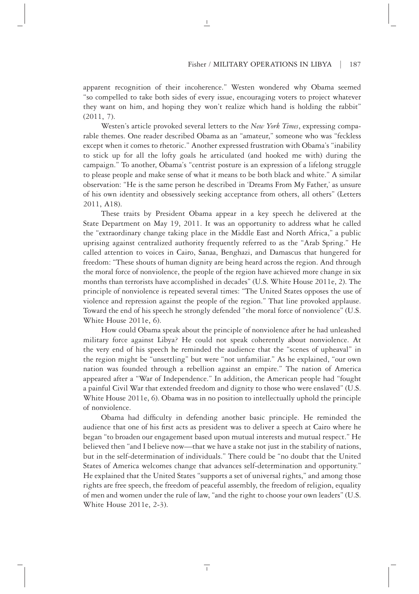apparent recognition of their incoherence." Westen wondered why Obama seemed "so compelled to take both sides of every issue, encouraging voters to project whatever they want on him, and hoping they won't realize which hand is holding the rabbit" (2011, 7).

Westen's article provoked several letters to the *New York Times*, expressing comparable themes. One reader described Obama as an "amateur," someone who was "feckless except when it comes to rhetoric." Another expressed frustration with Obama's "inability to stick up for all the lofty goals he articulated (and hooked me with) during the campaign." To another, Obama's "centrist posture is an expression of a lifelong struggle to please people and make sense of what it means to be both black and white." A similar observation: "He is the same person he described in 'Dreams From My Father,' as unsure of his own identity and obsessively seeking acceptance from others, all others" (Letters 2011, A18).

These traits by President Obama appear in a key speech he delivered at the State Department on May 19, 2011. It was an opportunity to address what he called the "extraordinary change taking place in the Middle East and North Africa," a public uprising against centralized authority frequently referred to as the "Arab Spring." He called attention to voices in Cairo, Sanaa, Benghazi, and Damascus that hungered for freedom: "These shouts of human dignity are being heard across the region. And through the moral force of nonviolence, the people of the region have achieved more change in six months than terrorists have accomplished in decades" (U.S. White House 2011e, 2). The principle of nonviolence is repeated several times: "The United States opposes the use of violence and repression against the people of the region." That line provoked applause. Toward the end of his speech he strongly defended "the moral force of nonviolence" (U.S. White House 2011e, 6).

How could Obama speak about the principle of nonviolence after he had unleashed military force against Libya? He could not speak coherently about nonviolence. At the very end of his speech he reminded the audience that the "scenes of upheaval" in the region might be "unsettling" but were "not unfamiliar." As he explained, "our own nation was founded through a rebellion against an empire." The nation of America appeared after a "War of Independence." In addition, the American people had "fought a painful Civil War that extended freedom and dignity to those who were enslaved" (U.S. White House 2011e, 6). Obama was in no position to intellectually uphold the principle of nonviolence.

Obama had difficulty in defending another basic principle. He reminded the audience that one of his first acts as president was to deliver a speech at Cairo where he began "to broaden our engagement based upon mutual interests and mutual respect." He believed then "and I believe now—that we have a stake not just in the stability of nations, but in the self-determination of individuals." There could be "no doubt that the United States of America welcomes change that advances self-determination and opportunity." He explained that the United States "supports a set of universal rights," and among those rights are free speech, the freedom of peaceful assembly, the freedom of religion, equality of men and women under the rule of law, "and the right to choose your own leaders" (U.S. White House 2011e, 2-3).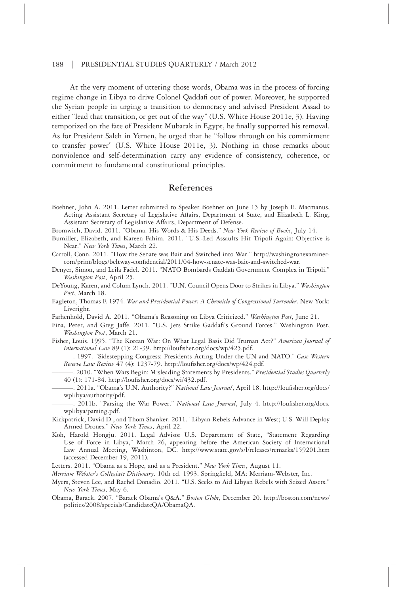At the very moment of uttering those words, Obama was in the process of forcing regime change in Libya to drive Colonel Qaddafi out of power. Moreover, he supported the Syrian people in urging a transition to democracy and advised President Assad to either "lead that transition, or get out of the way" (U.S. White House 2011e, 3). Having temporized on the fate of President Mubarak in Egypt, he finally supported his removal. As for President Saleh in Yemen, he urged that he "follow through on his commitment to transfer power" (U.S. White House 2011e, 3). Nothing in those remarks about nonviolence and self-determination carry any evidence of consistency, coherence, or commitment to fundamental constitutional principles.

## **References**

- Boehner, John A. 2011. Letter submitted to Speaker Boehner on June 15 by Joseph E. Macmanus, Acting Assistant Secretary of Legislative Affairs, Department of State, and Elizabeth L. King, Assistant Secretary of Legislative Affairs, Department of Defense.
- Bromwich, David. 2011. "Obama: His Words & His Deeds." *New York Review of Books*, July 14.
- Bumiller, Elizabeth, and Kareen Fahim. 2011. "U.S.-Led Assaults Hit Tripoli Again: Objective is Near." *New York Times*, March 22.
- Carroll, Conn. 2011. "How the Senate was Bait and Switched into War." http://washingtonexaminercom/print/blogs/beltway-confidential/2011/04-how-senate-was-bait-and-switched-war.
- Denyer, Simon, and Leila Fadel. 2011. "NATO Bombards Gaddafi Government Complex in Tripoli." *Washington Post*, April 25.
- DeYoung, Karen, and Colum Lynch. 2011. "U.N. Council Opens Door to Strikes in Libya." *Washington Post*, March 18.
- Eagleton, Thomas F. 1974. *War and Presidential Power: A Chronicle of Congressional Surrender*. New York: Liveright.
- Farhenhold, David A. 2011. "Obama's Reasoning on Libya Criticized." *Washington Post*, June 21.
- Fina, Peter, and Greg Jaffe. 2011. "U.S. Jets Strike Gaddafi's Ground Forces." Washington Post, *Washington Post*, March 21.
- Fisher, Louis. 1995. "The Korean War: On What Legal Basis Did Truman Act?" *American Journal of International Law* 89 (1): 21-39. http://loufisher.org/docs/wp/425.pdf.
	- ———. 1997. "Sidestepping Congress: Presidents Acting Under the UN and NATO." *Case Western Reserve Law Review* 47 (4): 1237-79. http://loufisher.org/docs/wp/424.pdf.
- ———. 2010. "When Wars Begin: Misleading Statements by Presidents." *Presidential Studies Quarterly* 40 (1): 171-84. http://loufisher.org/docs/wi/432.pdf.
- ———. 2011a. "Obama's U.N. Authority?" *National Law Journal*, April 18. http://loufisher.org/docs/ wplibya/authority/pdf.
- ———. 2011b. "Parsing the War Power." *National Law Journal*, July 4. http://loufisher.org/docs. wplibya/parsing.pdf.
- Kirkpatrick, David D., and Thom Shanker. 2011. "Libyan Rebels Advance in West; U.S. Will Deploy Armed Drones." *New York Times*, April 22.
- Koh, Harold Hongju. 2011. Legal Advisor U.S. Department of State, "Statement Regarding Use of Force in Libya," March 26, appearing before the American Society of International Law Annual Meeting, Washinton, DC. http://www.state.gov/s/l/releases/remarks/159201.htm (accessed December 19, 2011).
- Letters. 2011. "Obama as a Hope, and as a President." *New York Times*, August 11.
- *Merriam Webster's Collegiate Dictionary*. 10th ed. 1993. Springfield, MA: Merriam-Webster, Inc.
- Myers, Steven Lee, and Rachel Donadio. 2011. "U.S. Seeks to Aid Libyan Rebels with Seized Assets." *New York Times*, May 6.
- Obama, Barack. 2007. "Barack Obama's Q&A." *Boston Globe*, December 20. http://boston.com/news/ politics/2008/specials/CandidateQA/ObamaQA.

 $\top$